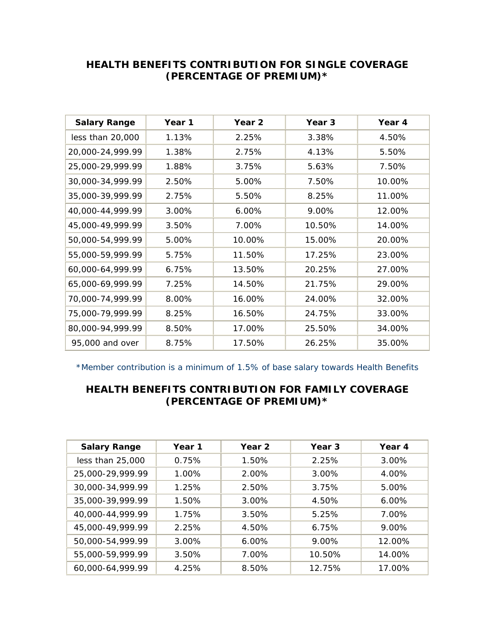## **HEALTH BENEFITS CONTRIBUTION FOR SINGLE COVERAGE (PERCENTAGE OF PREMIUM)\***

| <b>Salary Range</b> | Year 1 | Year 2 | Year 3 | Year 4 |
|---------------------|--------|--------|--------|--------|
| less than 20,000    | 1.13%  | 2.25%  | 3.38%  | 4.50%  |
| 20,000-24,999.99    | 1.38%  | 2.75%  | 4.13%  | 5.50%  |
| 25,000-29,999.99    | 1.88%  | 3.75%  | 5.63%  | 7.50%  |
| 30,000-34,999.99    | 2.50%  | 5.00%  | 7.50%  | 10.00% |
| 35,000-39,999.99    | 2.75%  | 5.50%  | 8.25%  | 11.00% |
| 40,000-44,999.99    | 3.00%  | 6.00%  | 9.00%  | 12.00% |
| 45,000-49,999.99    | 3.50%  | 7.00%  | 10.50% | 14.00% |
| 50,000-54,999.99    | 5.00%  | 10.00% | 15.00% | 20.00% |
| 55,000-59,999.99    | 5.75%  | 11.50% | 17.25% | 23.00% |
| 60,000-64,999.99    | 6.75%  | 13.50% | 20.25% | 27.00% |
| 65,000-69,999.99    | 7.25%  | 14.50% | 21.75% | 29.00% |
| 70,000-74,999.99    | 8.00%  | 16.00% | 24.00% | 32.00% |
| 75,000-79,999.99    | 8.25%  | 16.50% | 24.75% | 33.00% |
| 80,000-94,999.99    | 8.50%  | 17.00% | 25.50% | 34.00% |
| 95,000 and over     | 8.75%  | 17.50% | 26.25% | 35.00% |

\*Member contribution is a minimum of 1.5% of base salary towards Health Benefits

## **HEALTH BENEFITS CONTRIBUTION FOR FAMILY COVERAGE (PERCENTAGE OF PREMIUM)\***

| <b>Salary Range</b> | Year 1   | Year 2   | Year <sub>3</sub> | Year 4   |
|---------------------|----------|----------|-------------------|----------|
| less than 25,000    | 0.75%    | 1.50%    | 2.25%             | 3.00%    |
| 25,000-29,999.99    | 1.00%    | 2.00%    | 3.00%             | 4.00%    |
| 30,000-34,999.99    | 1.25%    | 2.50%    | 3.75%             | 5.00%    |
| 35,000-39,999.99    | 1.50%    | $3.00\%$ | 4.50%             | $6.00\%$ |
| 40,000-44,999.99    | 1.75%    | 3.50%    | 5.25%             | 7.00%    |
| 45,000-49,999.99    | 2.25%    | 4.50%    | 6.75%             | 9.00%    |
| 50,000-54,999.99    | $3.00\%$ | $6.00\%$ | 9.00%             | 12.00%   |
| 55,000-59,999.99    | 3.50%    | 7.00%    | 10.50%            | 14.00%   |
| 60,000-64,999.99    | 4.25%    | 8.50%    | 12.75%            | 17.00%   |